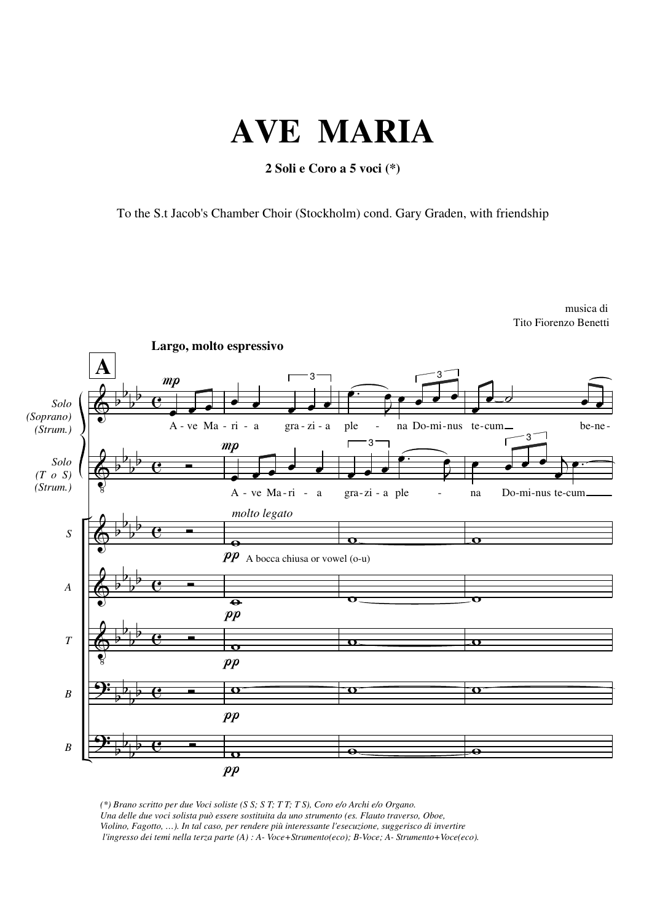## **AVE MARIA**

**2 Soli e Coro a 5 voci (\*)**

To the S.t Jacob's Chamber Choir (Stockholm) cond. Gary Graden, with friendship



*(\*) Brano scritto per due Voci soliste (S S; S T; T T; T S), Coro e/o Archi e/o Organo. Una delle due voci solista può essere sostituita da uno strumento (es. Flauto traverso, Oboe, Violino, Fagotto, …). In tal caso, per rendere più interessante l'esecuzione, suggerisco di invertire l'ingresso dei temi nella terza parte (A) : A- Voce+Strumento(eco); B-Voce; A- Strumento+Voce(eco).*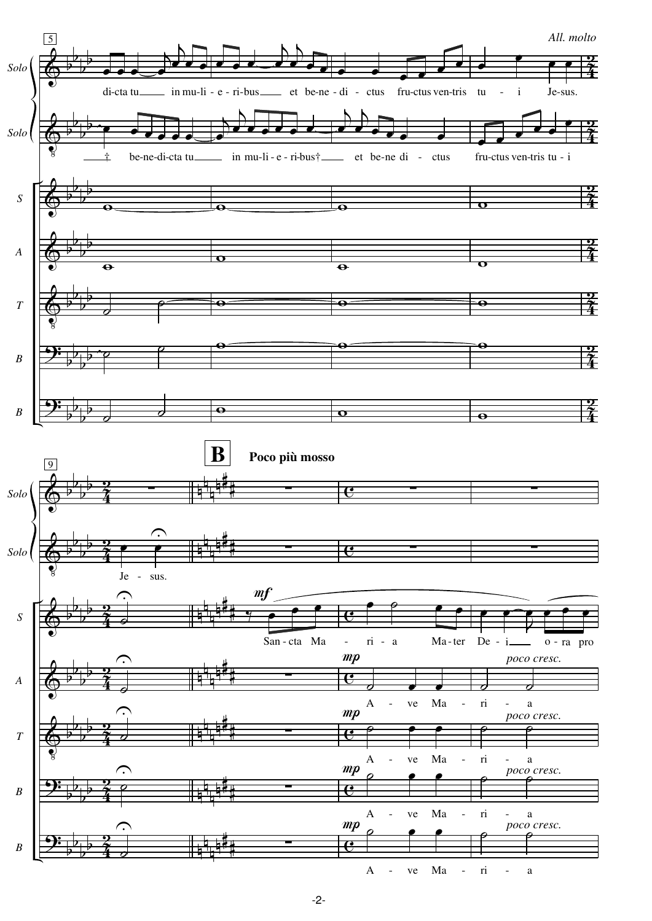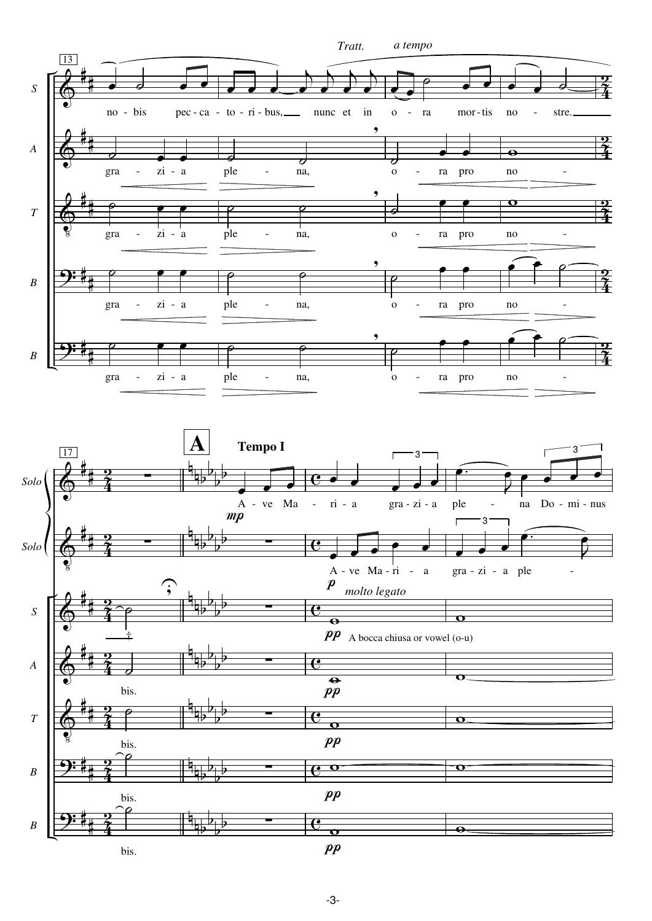



 $\overline{\mathbf{P}}$ # #  $\mathbf{\hat{4}}$  $\frac{2}{\sqrt{2}}$ n  $\frac{1}{2}$ b b b  $\mathbf{e}$ bis.<br>`<del>P</del> ∑  $pp$  $\overline{\mathbf{o}}$  $\overline{\mathbf{o}}$ 

bis.

 $\Phi$ 

*T*

*B*

*B*

 $\overline{\mathbf{P}}$ 

#

$$
p p
$$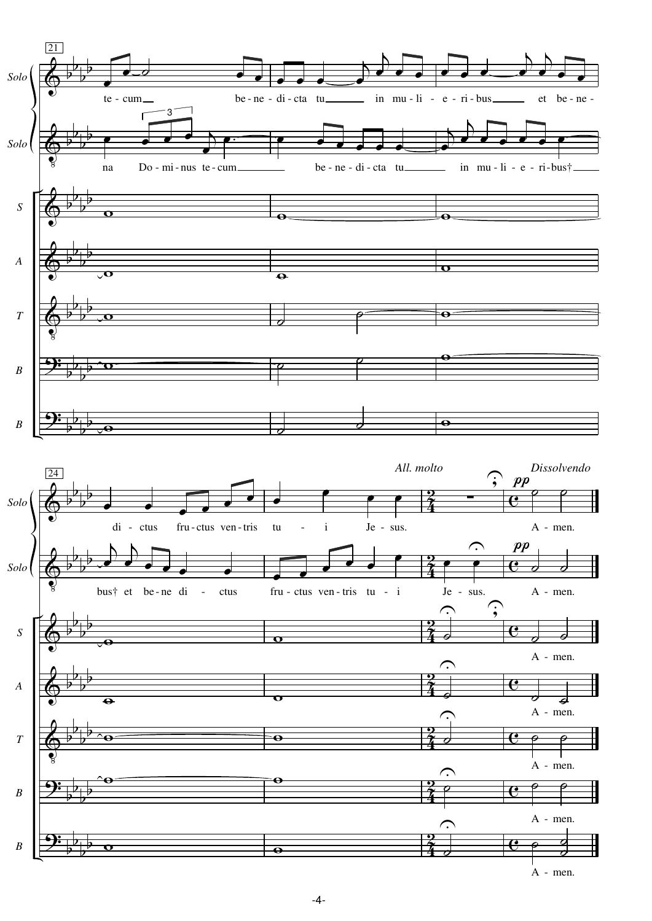